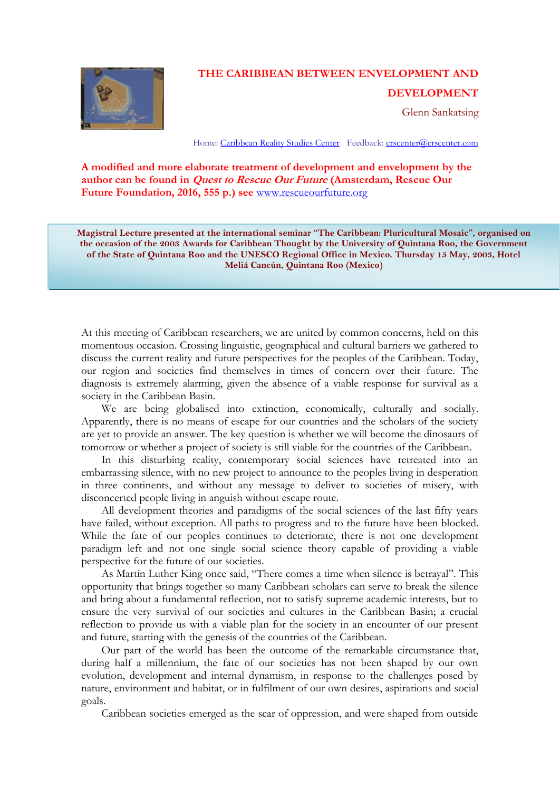

# **THE CARIBBEAN BETWEEN ENVELOPMENT AND**

# **DEVELOPMENT**

Glenn Sankatsing

Home[: Caribbean Reality Studies Center](http://www.crscenter.com/) Feedback[: crscenter@crscenter.com](mailto:crscenter@crscenter.com)

**A modified and more elaborate treatment of development and envelopment by the author can be found in Quest to Rescue Our Future (Amsterdam, Rescue Our Future Foundation, 2016, 555 p.) see** [www.rescueourfuture.org](http://www.rescueourfuture.org/)

**Magistral Lecture presented at the international seminar "The Caribbean: Pluricultural Mosaic", organised on the occasion of the 2003 Awards for Caribbean Thought by the University of Quintana Roo, the Government of the State of Quintana Roo and the UNESCO Regional Office in Mexico. Thursday 15 May, 2003, Hotel Meliá Cancún, Quintana Roo (Mexico)**

At this meeting of Caribbean researchers, we are united by common concerns, held on this momentous occasion. Crossing linguistic, geographical and cultural barriers we gathered to discuss the current reality and future perspectives for the peoples of the Caribbean. Today, our region and societies find themselves in times of concern over their future. The diagnosis is extremely alarming, given the absence of a viable response for survival as a society in the Caribbean Basin.

We are being globalised into extinction, economically, culturally and socially. Apparently, there is no means of escape for our countries and the scholars of the society are yet to provide an answer. The key question is whether we will become the dinosaurs of tomorrow or whether a project of society is still viable for the countries of the Caribbean.

In this disturbing reality, contemporary social sciences have retreated into an embarrassing silence, with no new project to announce to the peoples living in desperation in three continents, and without any message to deliver to societies of misery, with disconcerted people living in anguish without escape route.

All development theories and paradigms of the social sciences of the last fifty years have failed, without exception. All paths to progress and to the future have been blocked. While the fate of our peoples continues to deteriorate, there is not one development paradigm left and not one single social science theory capable of providing a viable perspective for the future of our societies.

As Martin Luther King once said, "There comes a time when silence is betrayal". This opportunity that brings together so many Caribbean scholars can serve to break the silence and bring about a fundamental reflection, not to satisfy supreme academic interests, but to ensure the very survival of our societies and cultures in the Caribbean Basin; a crucial reflection to provide us with a viable plan for the society in an encounter of our present and future, starting with the genesis of the countries of the Caribbean.

Our part of the world has been the outcome of the remarkable circumstance that, during half a millennium, the fate of our societies has not been shaped by our own evolution, development and internal dynamism, in response to the challenges posed by nature, environment and habitat, or in fulfilment of our own desires, aspirations and social goals.

Caribbean societies emerged as the scar of oppression, and were shaped from outside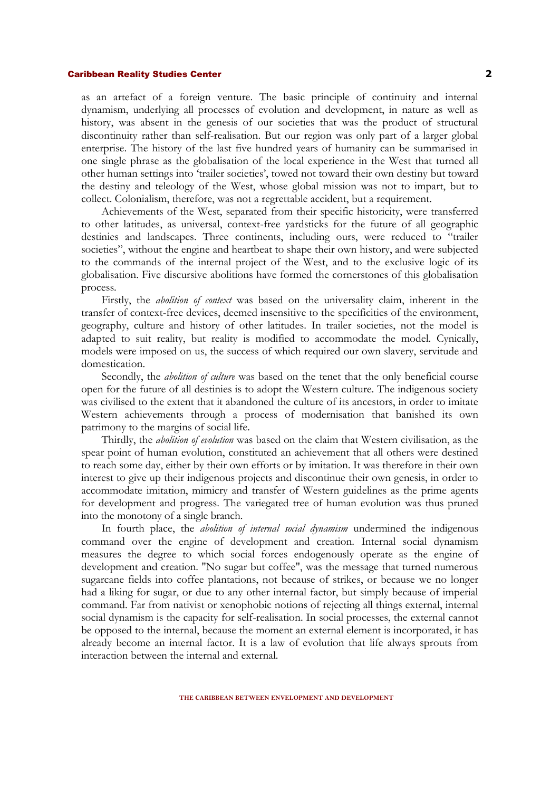as an artefact of a foreign venture. The basic principle of continuity and internal dynamism, underlying all processes of evolution and development, in nature as well as history, was absent in the genesis of our societies that was the product of structural discontinuity rather than self-realisation. But our region was only part of a larger global enterprise. The history of the last five hundred years of humanity can be summarised in one single phrase as the globalisation of the local experience in the West that turned all other human settings into 'trailer societies', towed not toward their own destiny but toward the destiny and teleology of the West, whose global mission was not to impart, but to collect. Colonialism, therefore, was not a regrettable accident, but a requirement.

Achievements of the West, separated from their specific historicity, were transferred to other latitudes, as universal, context-free yardsticks for the future of all geographic destinies and landscapes. Three continents, including ours, were reduced to "trailer societies", without the engine and heartbeat to shape their own history, and were subjected to the commands of the internal project of the West, and to the exclusive logic of its globalisation. Five discursive abolitions have formed the cornerstones of this globalisation process.

Firstly, the *abolition of context* was based on the universality claim, inherent in the transfer of context-free devices, deemed insensitive to the specificities of the environment, geography, culture and history of other latitudes. In trailer societies, not the model is adapted to suit reality, but reality is modified to accommodate the model. Cynically, models were imposed on us, the success of which required our own slavery, servitude and domestication.

Secondly, the *abolition of culture* was based on the tenet that the only beneficial course open for the future of all destinies is to adopt the Western culture. The indigenous society was civilised to the extent that it abandoned the culture of its ancestors, in order to imitate Western achievements through a process of modernisation that banished its own patrimony to the margins of social life.

Thirdly, the *abolition of evolution* was based on the claim that Western civilisation, as the spear point of human evolution, constituted an achievement that all others were destined to reach some day, either by their own efforts or by imitation. It was therefore in their own interest to give up their indigenous projects and discontinue their own genesis, in order to accommodate imitation, mimicry and transfer of Western guidelines as the prime agents for development and progress. The variegated tree of human evolution was thus pruned into the monotony of a single branch.

In fourth place, the *abolition of internal social dynamism* undermined the indigenous command over the engine of development and creation. Internal social dynamism measures the degree to which social forces endogenously operate as the engine of development and creation. "No sugar but coffee", was the message that turned numerous sugarcane fields into coffee plantations, not because of strikes, or because we no longer had a liking for sugar, or due to any other internal factor, but simply because of imperial command. Far from nativist or xenophobic notions of rejecting all things external, internal social dynamism is the capacity for self-realisation. In social processes, the external cannot be opposed to the internal, because the moment an external element is incorporated, it has already become an internal factor. It is a law of evolution that life always sprouts from interaction between the internal and external.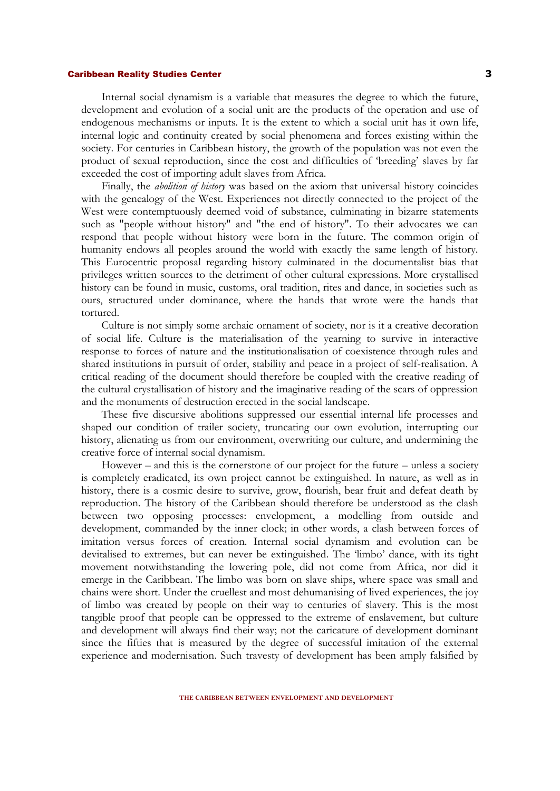Internal social dynamism is a variable that measures the degree to which the future, development and evolution of a social unit are the products of the operation and use of endogenous mechanisms or inputs. It is the extent to which a social unit has it own life, internal logic and continuity created by social phenomena and forces existing within the society. For centuries in Caribbean history, the growth of the population was not even the product of sexual reproduction, since the cost and difficulties of 'breeding' slaves by far exceeded the cost of importing adult slaves from Africa.

Finally, the *abolition of history* was based on the axiom that universal history coincides with the genealogy of the West. Experiences not directly connected to the project of the West were contemptuously deemed void of substance, culminating in bizarre statements such as "people without history" and "the end of history". To their advocates we can respond that people without history were born in the future. The common origin of humanity endows all peoples around the world with exactly the same length of history. This Eurocentric proposal regarding history culminated in the documentalist bias that privileges written sources to the detriment of other cultural expressions. More crystallised history can be found in music, customs, oral tradition, rites and dance, in societies such as ours, structured under dominance, where the hands that wrote were the hands that tortured.

Culture is not simply some archaic ornament of society, nor is it a creative decoration of social life. Culture is the materialisation of the yearning to survive in interactive response to forces of nature and the institutionalisation of coexistence through rules and shared institutions in pursuit of order, stability and peace in a project of self-realisation. A critical reading of the document should therefore be coupled with the creative reading of the cultural crystallisation of history and the imaginative reading of the scars of oppression and the monuments of destruction erected in the social landscape.

These five discursive abolitions suppressed our essential internal life processes and shaped our condition of trailer society, truncating our own evolution, interrupting our history, alienating us from our environment, overwriting our culture, and undermining the creative force of internal social dynamism.

However – and this is the cornerstone of our project for the future – unless a society is completely eradicated, its own project cannot be extinguished. In nature, as well as in history, there is a cosmic desire to survive, grow, flourish, bear fruit and defeat death by reproduction. The history of the Caribbean should therefore be understood as the clash between two opposing processes: envelopment, a modelling from outside and development, commanded by the inner clock; in other words, a clash between forces of imitation versus forces of creation. Internal social dynamism and evolution can be devitalised to extremes, but can never be extinguished. The 'limbo' dance, with its tight movement notwithstanding the lowering pole, did not come from Africa, nor did it emerge in the Caribbean. The limbo was born on slave ships, where space was small and chains were short. Under the cruellest and most dehumanising of lived experiences, the joy of limbo was created by people on their way to centuries of slavery. This is the most tangible proof that people can be oppressed to the extreme of enslavement, but culture and development will always find their way; not the caricature of development dominant since the fifties that is measured by the degree of successful imitation of the external experience and modernisation. Such travesty of development has been amply falsified by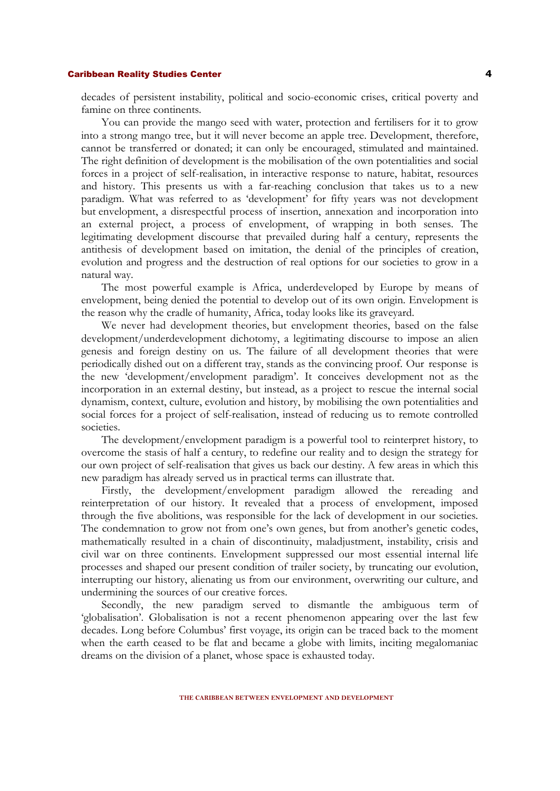decades of persistent instability, political and socio-economic crises, critical poverty and famine on three continents.

You can provide the mango seed with water, protection and fertilisers for it to grow into a strong mango tree, but it will never become an apple tree. Development, therefore, cannot be transferred or donated; it can only be encouraged, stimulated and maintained. The right definition of development is the mobilisation of the own potentialities and social forces in a project of self-realisation, in interactive response to nature, habitat, resources and history. This presents us with a far-reaching conclusion that takes us to a new paradigm. What was referred to as 'development' for fifty years was not development but envelopment, a disrespectful process of insertion, annexation and incorporation into an external project, a process of envelopment, of wrapping in both senses. The legitimating development discourse that prevailed during half a century, represents the antithesis of development based on imitation, the denial of the principles of creation, evolution and progress and the destruction of real options for our societies to grow in a natural way.

The most powerful example is Africa, underdeveloped by Europe by means of envelopment, being denied the potential to develop out of its own origin. Envelopment is the reason why the cradle of humanity, Africa, today looks like its graveyard.

We never had development theories, but envelopment theories, based on the false development/underdevelopment dichotomy, a legitimating discourse to impose an alien genesis and foreign destiny on us. The failure of all development theories that were periodically dished out on a different tray, stands as the convincing proof. Our response is the new 'development/envelopment paradigm'. It conceives development not as the incorporation in an external destiny, but instead, as a project to rescue the internal social dynamism, context, culture, evolution and history, by mobilising the own potentialities and social forces for a project of self-realisation, instead of reducing us to remote controlled societies.

The development/envelopment paradigm is a powerful tool to reinterpret history, to overcome the stasis of half a century, to redefine our reality and to design the strategy for our own project of self-realisation that gives us back our destiny. A few areas in which this new paradigm has already served us in practical terms can illustrate that.

Firstly, the development/envelopment paradigm allowed the rereading and reinterpretation of our history. It revealed that a process of envelopment, imposed through the five abolitions, was responsible for the lack of development in our societies. The condemnation to grow not from one's own genes, but from another's genetic codes, mathematically resulted in a chain of discontinuity, maladjustment, instability, crisis and civil war on three continents. Envelopment suppressed our most essential internal life processes and shaped our present condition of trailer society, by truncating our evolution, interrupting our history, alienating us from our environment, overwriting our culture, and undermining the sources of our creative forces.

Secondly, the new paradigm served to dismantle the ambiguous term of 'globalisation'. Globalisation is not a recent phenomenon appearing over the last few decades. Long before Columbus' first voyage, its origin can be traced back to the moment when the earth ceased to be flat and became a globe with limits, inciting megalomaniac dreams on the division of a planet, whose space is exhausted today.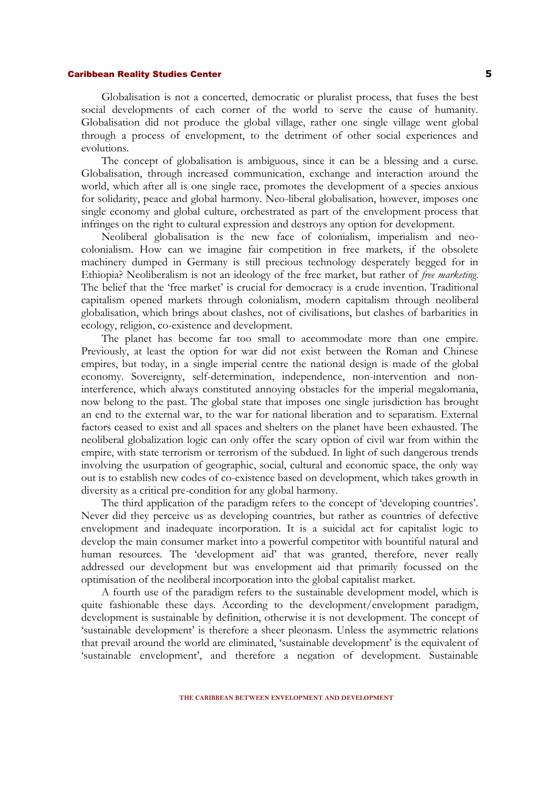Globalisation is not a concerted, democratic or pluralist process, that fuses the best social developments of each corner of the world to serve the cause of humanity. Globalisation did not produce the global village, rather one single village went global through a process of envelopment, to the detriment of other social experiences and evolutions.

The concept of globalisation is ambiguous, since it can be a blessing and a curse. Globalisation, through increased communication, exchange and interaction around the world, which after all is one single race, promotes the development of a species anxious for solidarity, peace and global harmony. Neo-liberal globalisation, however, imposes one single economy and global culture, orchestrated as part of the envelopment process that infringes on the right to cultural expression and destroys any option for development.

Neoliberal globalisation is the new face of colonialism, imperialism and neocolonialism. How can we imagine fair competition in free markets, if the obsolete machinery dumped in Germany is still precious technology desperately begged for in Ethiopia? Neoliberalism is not an ideology of the free market, but rather of *free marketing*. The belief that the 'free market' is crucial for democracy is a crude invention. Traditional capitalism opened markets through colonialism, modern capitalism through neoliberal globalisation, which brings about clashes, not of civilisations, but clashes of barbarities in ecology, religion, co-existence and development.

The planet has become far too small to accommodate more than one empire. Previously, at least the option for war did not exist between the Roman and Chinese empires, but today, in a single imperial centre the national design is made of the global economy. Sovereignty, self-determination, independence, non-intervention and noninterference, which always constituted annoying obstacles for the imperial megalomania, now belong to the past. The global state that imposes one single jurisdiction has brought an end to the external war, to the war for national liberation and to separatism. External factors ceased to exist and all spaces and shelters on the planet have been exhausted. The neoliberal globalization logic can only offer the scary option of civil war from within the empire, with state terrorism or terrorism of the subdued. In light of such dangerous trends involving the usurpation of geographic, social, cultural and economic space, the only way out is to establish new codes of co-existence based on development, which takes growth in diversity as a critical pre-condition for any global harmony.

The third application of the paradigm refers to the concept of 'developing countries'. Never did they perceive us as developing countries, but rather as countries of defective envelopment and inadequate incorporation. It is a suicidal act for capitalist logic to develop the main consumer market into a powerful competitor with bountiful natural and human resources. The 'development aid' that was granted, therefore, never really addressed our development but was envelopment aid that primarily focussed on the optimisation of the neoliberal incorporation into the global capitalist market.

A fourth use of the paradigm refers to the sustainable development model, which is quite fashionable these days. According to the development/envelopment paradigm, development is sustainable by definition, otherwise it is not development. The concept of 'sustainable development' is therefore a sheer pleonasm. Unless the asymmetric relations that prevail around the world are eliminated, 'sustainable development' is the equivalent of 'sustainable envelopment', and therefore a negation of development. Sustainable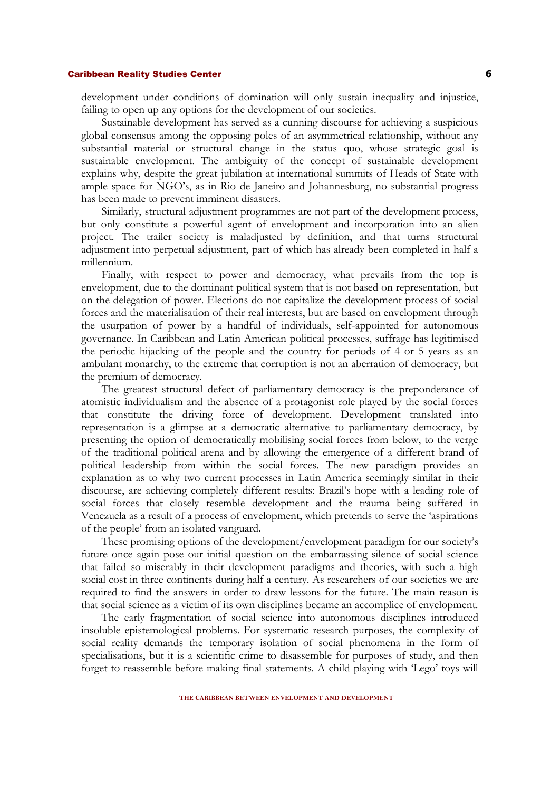development under conditions of domination will only sustain inequality and injustice, failing to open up any options for the development of our societies.

Sustainable development has served as a cunning discourse for achieving a suspicious global consensus among the opposing poles of an asymmetrical relationship, without any substantial material or structural change in the status quo, whose strategic goal is sustainable envelopment. The ambiguity of the concept of sustainable development explains why, despite the great jubilation at international summits of Heads of State with ample space for NGO's, as in Rio de Janeiro and Johannesburg, no substantial progress has been made to prevent imminent disasters.

Similarly, structural adjustment programmes are not part of the development process, but only constitute a powerful agent of envelopment and incorporation into an alien project. The trailer society is maladjusted by definition, and that turns structural adjustment into perpetual adjustment, part of which has already been completed in half a millennium.

Finally, with respect to power and democracy, what prevails from the top is envelopment, due to the dominant political system that is not based on representation, but on the delegation of power. Elections do not capitalize the development process of social forces and the materialisation of their real interests, but are based on envelopment through the usurpation of power by a handful of individuals, self-appointed for autonomous governance. In Caribbean and Latin American political processes, suffrage has legitimised the periodic hijacking of the people and the country for periods of 4 or 5 years as an ambulant monarchy, to the extreme that corruption is not an aberration of democracy, but the premium of democracy.

The greatest structural defect of parliamentary democracy is the preponderance of atomistic individualism and the absence of a protagonist role played by the social forces that constitute the driving force of development. Development translated into representation is a glimpse at a democratic alternative to parliamentary democracy, by presenting the option of democratically mobilising social forces from below, to the verge of the traditional political arena and by allowing the emergence of a different brand of political leadership from within the social forces. The new paradigm provides an explanation as to why two current processes in Latin America seemingly similar in their discourse, are achieving completely different results: Brazil's hope with a leading role of social forces that closely resemble development and the trauma being suffered in Venezuela as a result of a process of envelopment, which pretends to serve the 'aspirations of the people' from an isolated vanguard.

These promising options of the development/envelopment paradigm for our society's future once again pose our initial question on the embarrassing silence of social science that failed so miserably in their development paradigms and theories, with such a high social cost in three continents during half a century. As researchers of our societies we are required to find the answers in order to draw lessons for the future. The main reason is that social science as a victim of its own disciplines became an accomplice of envelopment.

The early fragmentation of social science into autonomous disciplines introduced insoluble epistemological problems. For systematic research purposes, the complexity of social reality demands the temporary isolation of social phenomena in the form of specialisations, but it is a scientific crime to disassemble for purposes of study, and then forget to reassemble before making final statements. A child playing with 'Lego' toys will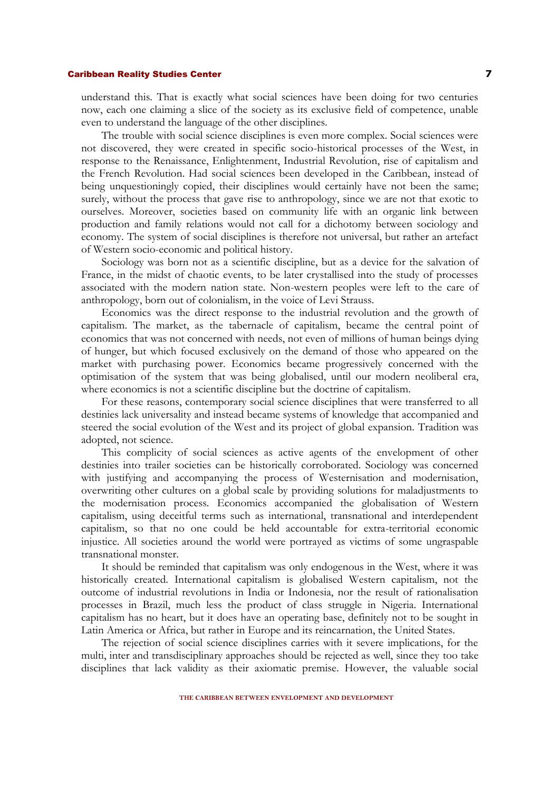understand this. That is exactly what social sciences have been doing for two centuries now, each one claiming a slice of the society as its exclusive field of competence, unable even to understand the language of the other disciplines.

The trouble with social science disciplines is even more complex. Social sciences were not discovered, they were created in specific socio-historical processes of the West, in response to the Renaissance, Enlightenment, Industrial Revolution, rise of capitalism and the French Revolution. Had social sciences been developed in the Caribbean, instead of being unquestioningly copied, their disciplines would certainly have not been the same; surely, without the process that gave rise to anthropology, since we are not that exotic to ourselves. Moreover, societies based on community life with an organic link between production and family relations would not call for a dichotomy between sociology and economy. The system of social disciplines is therefore not universal, but rather an artefact of Western socio-economic and political history.

Sociology was born not as a scientific discipline, but as a device for the salvation of France, in the midst of chaotic events, to be later crystallised into the study of processes associated with the modern nation state. Non-western peoples were left to the care of anthropology, born out of colonialism, in the voice of Levi Strauss.

Economics was the direct response to the industrial revolution and the growth of capitalism. The market, as the tabernacle of capitalism, became the central point of economics that was not concerned with needs, not even of millions of human beings dying of hunger, but which focused exclusively on the demand of those who appeared on the market with purchasing power. Economics became progressively concerned with the optimisation of the system that was being globalised, until our modern neoliberal era, where economics is not a scientific discipline but the doctrine of capitalism.

For these reasons, contemporary social science disciplines that were transferred to all destinies lack universality and instead became systems of knowledge that accompanied and steered the social evolution of the West and its project of global expansion. Tradition was adopted, not science.

This complicity of social sciences as active agents of the envelopment of other destinies into trailer societies can be historically corroborated. Sociology was concerned with justifying and accompanying the process of Westernisation and modernisation, overwriting other cultures on a global scale by providing solutions for maladjustments to the modernisation process. Economics accompanied the globalisation of Western capitalism, using deceitful terms such as international, transnational and interdependent capitalism, so that no one could be held accountable for extra-territorial economic injustice. All societies around the world were portrayed as victims of some ungraspable transnational monster.

It should be reminded that capitalism was only endogenous in the West, where it was historically created. International capitalism is globalised Western capitalism, not the outcome of industrial revolutions in India or Indonesia, nor the result of rationalisation processes in Brazil, much less the product of class struggle in Nigeria. International capitalism has no heart, but it does have an operating base, definitely not to be sought in Latin America or Africa, but rather in Europe and its reincarnation, the United States.

The rejection of social science disciplines carries with it severe implications, for the multi, inter and transdisciplinary approaches should be rejected as well, since they too take disciplines that lack validity as their axiomatic premise. However, the valuable social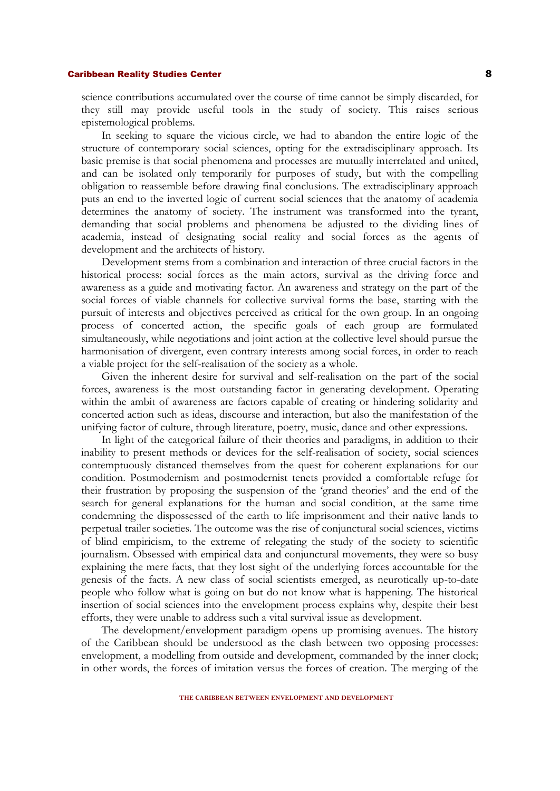science contributions accumulated over the course of time cannot be simply discarded, for they still may provide useful tools in the study of society. This raises serious epistemological problems.

In seeking to square the vicious circle, we had to abandon the entire logic of the structure of contemporary social sciences, opting for the extradisciplinary approach. Its basic premise is that social phenomena and processes are mutually interrelated and united, and can be isolated only temporarily for purposes of study, but with the compelling obligation to reassemble before drawing final conclusions. The extradisciplinary approach puts an end to the inverted logic of current social sciences that the anatomy of academia determines the anatomy of society. The instrument was transformed into the tyrant, demanding that social problems and phenomena be adjusted to the dividing lines of academia, instead of designating social reality and social forces as the agents of development and the architects of history.

Development stems from a combination and interaction of three crucial factors in the historical process: social forces as the main actors, survival as the driving force and awareness as a guide and motivating factor. An awareness and strategy on the part of the social forces of viable channels for collective survival forms the base, starting with the pursuit of interests and objectives perceived as critical for the own group. In an ongoing process of concerted action, the specific goals of each group are formulated simultaneously, while negotiations and joint action at the collective level should pursue the harmonisation of divergent, even contrary interests among social forces, in order to reach a viable project for the self-realisation of the society as a whole.

Given the inherent desire for survival and self-realisation on the part of the social forces, awareness is the most outstanding factor in generating development. Operating within the ambit of awareness are factors capable of creating or hindering solidarity and concerted action such as ideas, discourse and interaction, but also the manifestation of the unifying factor of culture, through literature, poetry, music, dance and other expressions.

In light of the categorical failure of their theories and paradigms, in addition to their inability to present methods or devices for the self-realisation of society, social sciences contemptuously distanced themselves from the quest for coherent explanations for our condition. Postmodernism and postmodernist tenets provided a comfortable refuge for their frustration by proposing the suspension of the 'grand theories' and the end of the search for general explanations for the human and social condition, at the same time condemning the dispossessed of the earth to life imprisonment and their native lands to perpetual trailer societies. The outcome was the rise of conjunctural social sciences, victims of blind empiricism, to the extreme of relegating the study of the society to scientific journalism. Obsessed with empirical data and conjunctural movements, they were so busy explaining the mere facts, that they lost sight of the underlying forces accountable for the genesis of the facts. A new class of social scientists emerged, as neurotically up-to-date people who follow what is going on but do not know what is happening. The historical insertion of social sciences into the envelopment process explains why, despite their best efforts, they were unable to address such a vital survival issue as development.

The development/envelopment paradigm opens up promising avenues. The history of the Caribbean should be understood as the clash between two opposing processes: envelopment, a modelling from outside and development, commanded by the inner clock; in other words, the forces of imitation versus the forces of creation. The merging of the